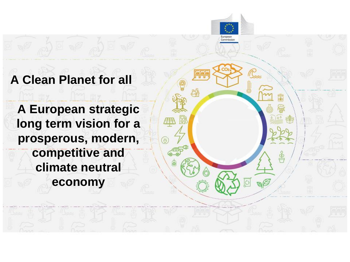#### **A Clean Planet for all**

**A European strategic long term vision for a prosperous, modern, competitive and climate neutral economy**

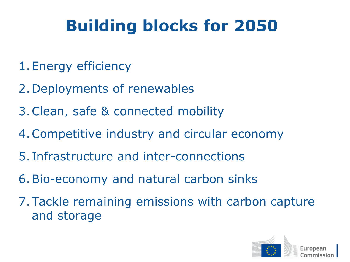# **Building blocks for 2050**

- 1.Energy efficiency
- 2.Deployments of renewables
- 3.Clean, safe & connected mobility
- 4.Competitive industry and circular economy
- 5. Infrastructure and inter-connections
- 6.Bio-economy and natural carbon sinks
- 7.Tackle remaining emissions with carbon capture and storage

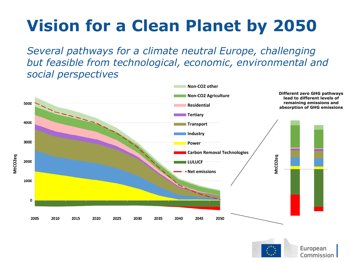# **Vision for a Clean Planet by 2050**

*Several pathways for a climate neutral Europe, challenging but feasible from technological, economic, environmental and social perspectives*



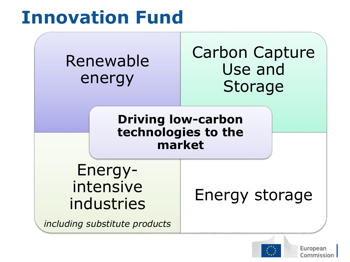# **Innovation Fund**



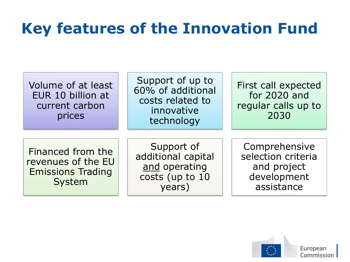## **Key features of the Innovation Fund**

| Volume of at least<br>EUR 10 billion at<br>current carbon<br>prices           | Support of up to<br>60% of additional<br>costs related to<br>innovative<br>technology | First call expected<br>for 2020 and<br>regular calls up to<br>2030              |
|-------------------------------------------------------------------------------|---------------------------------------------------------------------------------------|---------------------------------------------------------------------------------|
| Financed from the<br>revenues of the EU<br><b>Emissions Trading</b><br>System | Support of<br>additional capital<br>and operating<br>costs (up to 10<br>years)        | Comprehensive<br>selection criteria<br>and project<br>development<br>assistance |

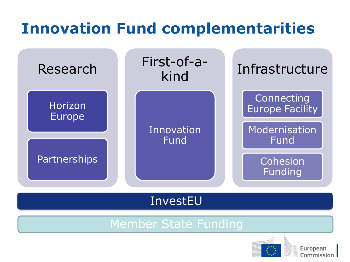### **Innovation Fund complementarities**



InvestEU

#### Member State Funding

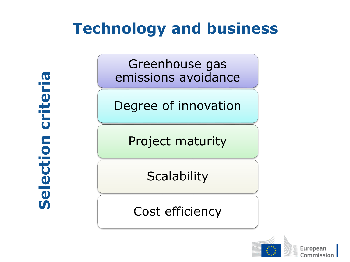#### **Technology and business**

**Selection criteria** $\overline{\mathbf{C}}$ crite election  $\boldsymbol{\mathsf{S}}$ 

Greenhouse gas emissions avoidance

Degree of innovation

Project maturity

**Scalability** 

Cost efficiency

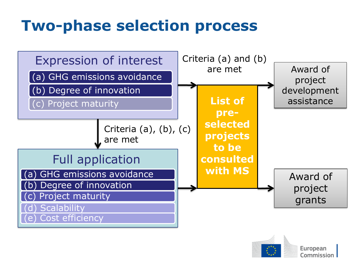#### **Two-phase selection process**



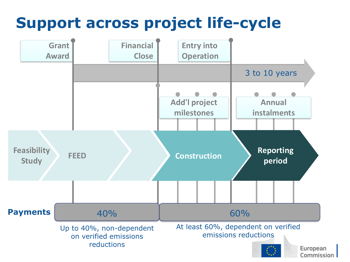### **Support across project life-cycle**

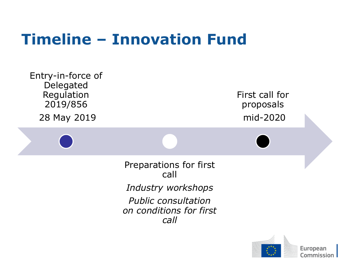#### **Timeline – Innovation Fund**



Commission